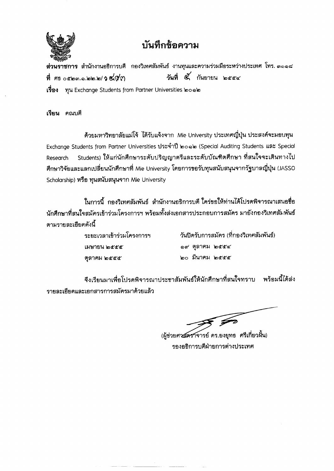

## ำเันทึกขัดความ

**สวนราชการ** สานกงานอธการบด กองวเทศสมพนธ์ งานทุนและความรวมมอระหว่างบระเทศ เทร. ๓๑๑๘<br>.  $\vec{\eta}$  ศธ $\circ$ ๕๒๓.๑.๒๒.๒/วู๕๙๓ ... วันที่  $\vec{\alpha}'$  กันยายน ๒๕๕๔

**เรื่อง ทุน Exchange Students from Partner Universities ๒๐๑)** 

เรียน คณบดี

ด้วยมหาวิทยาลัยแม่โจ้ ได้รับแจ้งจาก Mie University ประเทศญี่ปุ่น ประสงค์จะมอบทุน Exchange Students from Partner Universities ประจำปี ๒๐๑๒ (Special Auditing Students และ Special Research Students) ให้แก่นักศึกษาระดับปริญญาตรีและระดับบัณฑิตศึกษา ที่สนใจจะเดินทางไป ้ศึกษาวิจัยและแลกเปลี่ยนนักศึกษาที่ Mie University โดยการขอรับทุนสนับสนุนจากรัฐบาลญี่ปุ่น (JASSO Scholarship) หรือ ทุนสนับสนุนจาก Mie University

ี่ในการนี้ กองวิเทศสัมพันธ์ สำนักงานอธิการบดี ใคร่ขอให้ท่านได้โปรดพิจารณาเสนอชื่อ นักศึกษาที่สนใจสมัครเข้าร่วมโครงการฯ พร้อมทั้งส่งเอกสารประกอบการสมัคร มายังกองวิเทศสัมพันธ์ ตามรายละเกียดดังนี้

> เมษายน ๒๕๕๕ ตุลาคม ๒๕๕๕

ระยะเวลาเข้าร่วมโครงการฯ วันปีดรับการสมัคร (ที่กองวิเทศสัมพันธ์)  $\circ$ ๙ ตุลาคม ๒๕๕๔ \£10 ~1.111"1~ \£I<t'<t'<t'

จึงเรียนมาเพื่อโปรดพิจารณาประชาสัมพันธ์ให้นักศึกษาที่สนใจทราบ พร้อมนี้ได้ส่ง รายละเอียดและเอกสารการสมัครมาด้วยแล้ว

 $\mathcal{F}$ 

(ผู้ช่วยศาสตราจารย์ ดร.ยงยุทธ ศรีเกี่ยวผื้น) รองอธิการบดีฝ่ายการต่างประเทศ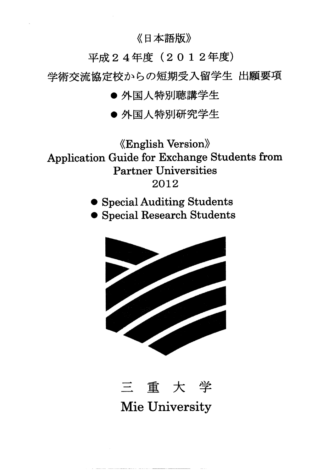《日本語版》

平成24年度 $(20124#)$ 

学術交流協定校からの短期受入留学生 出願要項

● 外国人特別聴講学生

● 外国人特別研究学生

«English Version» Application Guide for Exchange Students from Partner Universities 2012

. Special Auditing Students

. Special Research Students





Mie University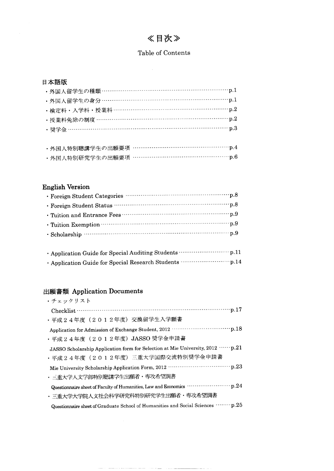## 《目次》

### Table of Contents

### 日本語版

| ・外国人留学生の種類 ………………………………………………………… p.1 |
|---------------------------------------|
| ・外国人留学生の身分 ………………………………………………………… p.1 |
| ・検定料・入学料・授業料 ………………………………………………… p.2  |
| ・授業料免除の制度 ………………………………………………………… p.2  |
| · 奨学金 ……………………………………………………………………… p.3 |
|                                       |

|  | ・外国人特別聴講学生の出願要項 …………………………………………p.4 |
|--|-------------------------------------|
|  | ・外国人特別研究学生の出願要項 …………………………………………p.6 |

### **English Version**

### 出願書類 Application Documents

| ・チェックリスト                                                                                     |
|----------------------------------------------------------------------------------------------|
|                                                                                              |
| ・平成24年度 (2012年度) 交換留学生入学願書                                                                   |
|                                                                                              |
| ・平成24年度(2012年度)JASSO 奨学金申請書                                                                  |
| JASSO Scholarship Application form for Selection at Mie University, 2012 …… p.21             |
| ・平成24年度(2012年度)三重大学国際交流特別奨学金申請書                                                              |
|                                                                                              |
| ・三重大学人文学部特別聴講学生出願者・専攻希望調書                                                                    |
| Questionnaire sheet of Faculty of Humanities, Law and Economics ······················· p.24 |
| • 三重大学大学院人文社会科学研究科特別研究学生出願者・専攻希望調書                                                           |
| Questionnaire sheet of Graduate School of Humanities and Social Sciences  p.25               |
|                                                                                              |

 $\label{eq:reduced} \begin{split} \mathcal{L}_{\text{c}}(\mathcal{L}_{\text{c}}) = \mathcal{L}_{\text{c}}(\mathcal{L}_{\text{c}}) = \mathcal{L}_{\text{c}}(\mathcal{L}_{\text{c}}) \end{split}$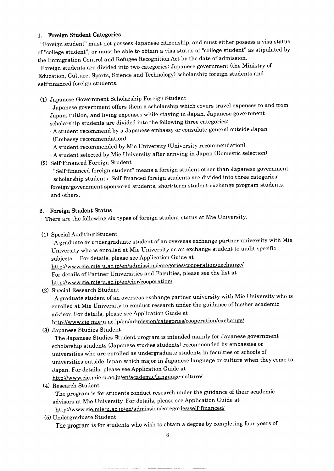### 1. Foreign Student Categories

"Foreign student" must not possess Japanese citizenship, and must either possess a visa status of "college student", or must be able to obtain a visa status of "college student" as stipulated by the Immigration Control and Refugee Recognition Act by the date of admission.

Foreign students are divided into two categories: Japanese government (the Ministry of Education, Culture, Sports, Science and Technology) scholarship foreign students and self-financed foreign students.

(1) Japanese Government Scholarship Foreign Student

Japanese government offers them a scholarship which covers travel expenses to and from Japan, tuition, and living expenses while staying in Japan. Japanese government scholarship students are divided into the following three categories:

-A student recommend by a Japanese embassy or consulate general outside Japan (Embassy recommendation)

- -A student recommended by Mie University (University recommendation)
- -A student selected by Mie University after arriving in Japan (Domestic selection)
- (2) Self-Financed Foreign Student

"Self-financed foreign student" means a foreign student other than Japanese government scholarship students. Self-financed foreign students are divided into three categories: foreign-government sponsored students, short-term student exchange program students, and others.

### 2. Foreign Student Status

There are the following six types of foreign student status at Mie University.

(1) Special Auditing Student

A graduate or undergraduate student of an overseas exchange partner university with Mie University who is enrolled at Mie University as an exchange student to audit specific subjects. For details, please see Application Guide at http://www.cie.mie-u.ac.jp/en/admission/categories/cooperation/exchange/ For details of Partner Universities and Faculties, please see the list at http://www.cie.mie-u.ac.jp/en/cier/cooperation/

(2) Special Research Student

A graduate student of an overseas exchange partner university with Mie University who is enrolled at Mie University to conduct research under the guidance of his/her academic advisor. For details, please see Application Guide at

http://www.cie .mie-u.ac. ip/en/ admissionlca tegories/coopera tion/exchange/

(3) Japanese Studies Student

The Japanese Studies Student program is intended mainly for Japanese government scholarship students (Japanese studies students) recommended by embassies or universities who are enrolled as undergraduate students in faculties or schools of universities outside Japan which major in Japanese language or culture when they come to Japan. For details, please see Application Guide at

http://www.cie. mie-u.ac. ip/en/academicllanguage-culture/

(4) Research Student

The program is for students conduct research under the guidance of their academic advisors at Mie University. For details, please see Application Guide at http://www.cie.mie-u.ac.jp/en/admission/categories/self-financed/

(5) Undergraduate Student

The program is for students who wish to obtain a degree by completing four years of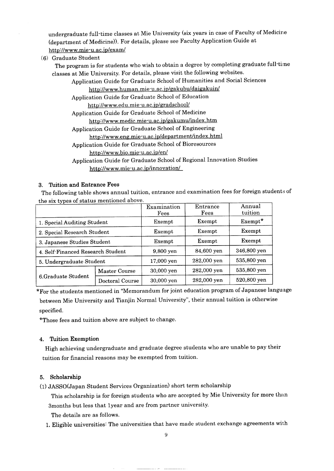undergraduate full-time classes at Mie University (six years in case of Faculty of Medicine (department of Medicine)). For details, please see Faculty Application Guide at http://www.mie-u.ac. ip/exam/

(6) Graduate Student

The program is for students who wish to obtain a degree by completing graduate full-time classes at Mie University. For details, please visit the following websites.

Application Guide for Graduate School of Humanities and Social Sciences

### http://www.human.mie-u.ac.jp/gakubu/daigakuin/

Application Guide for Graduate School of Education

http://www.edu.mie-u.ac.jp/gradschool/

Application Guide for Graduate School of Medicine

http://www.medic.mie-u.ac.jp/gakumu/index.htm

Application Guide for Graduate School of Engineering

http://www.eng.mie-u.ac.jp/department/index.html

Application Guide for Graduate School of Bioresources

http://www.bio.mie-u.ac. ip/en/

Application Guide for Graduate School of Regional Innovation Studies http://www. mie-u.ac. ip/innovationl

### 3. Tuition and Entrance Fees

The following table shows annual tuition, entrance and examination fees for foreign students of the six types of status mentioned above.

| $\frac{1}{2}$                     |                 | Examination<br>Fees | Entrance<br>Fees | Annual<br>tuition |
|-----------------------------------|-----------------|---------------------|------------------|-------------------|
| 1. Special Auditing Student       |                 | Exempt              | Exempt           | $Exempt*$         |
| 2. Special Research Student       |                 | Exempt              | Exempt           | Exempt            |
| 3. Japanese Studies Student       |                 | Exempt              | Exempt           | Exempt            |
| 4. Self-Financed Research Student |                 | 9,800 yen           | 84,600 yen       | 346,800 yen       |
| 5. Undergraduate Student          |                 | 17,000 yen          | 282,000 yen      | 535,800 yen       |
|                                   | Master Course   | 30,000 yen          | 282,000 yen      | 535,800 yen       |
| 6.Graduate Student                | Doctoral Course | 30,000 yen          | 282,000 yen      | 520,800 yen       |

\*For the students mentioned in "Memorandum for joint education program of Japanese language between Mie University and Tianjin Normal University", their annual tuition is otherwise specified.

\*Those fees and tuition above are subject to change.

### 4. Tuition Exemption

High achieving undergraduate and graduate degree students who are unable to pay their tuition for financial reasons may be exempted from tuition.

### 5. Scholarship

(1) JASSO(Japan Student Services Organization) short term scholarship

This scholarship is for foreign students who are accepted by Mie University for more than 3months but less that 1year and are from partner university.

The details are as follows.

1. Eligible universities: The universities that have made student exchange agreements with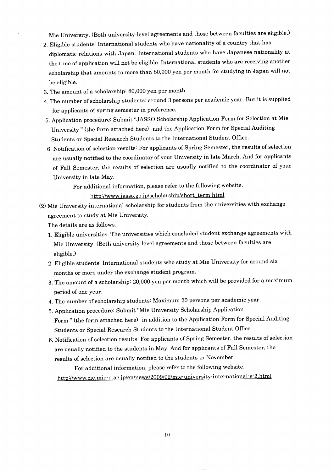Mie University. (Both university-level agreements and those between faculties are eligible.)

- 2. Eligible students: International students who have nationality of a country that has diplomatic relations with Japan. International students who have Japanese nationality at the time of application will not be eligible. International students who are receiving another scholarship that amounts to more than 80,000 yen per month for studying in Japan will not be eligible.
- 3. The amount of a scholarship: 80,000 yen per month.
- 4. The number of scholarship students: around 3 persons per academic year. But it is supplied for applicants of spring semester in preference.
- 5. Application procedure: Submit "JASSO Scholarship Application Form for Selection at Mie University" (the form attached here) and the Application Form for Special Auditing Students or Special Research Students to the International Student Office.
- 6. Notification of selection results: For applicants of Spring Semester, the results of selection are usually notified to the coordinator of your University in late March. And for applicants of Fall Semester, the results of selection are usually notified to the coordinator of your University in late May.

For additional information, please refer to the following website.

http://www.jasso.go.jp/scholarship/short term.html

(2) Mie University international scholarship for students from the universities with exchange agreement to study at Mie University.

The details are as follows.

- 1. Eligible universities: The universities which concluded student exchange agreements with Mie University. (Both university-level agreements and those between faculties are eligible.)
- 2. Eligible students: International students who study at Mie University for around six months or more under the exchange student program.
- 3. The amount of a scholarship: 20,000 yen per month which will be provided for a maximum period of one year.
- 4. The number of scholarship students: Maximum 20 persons per academic year.
- 5. Application procedure: Submit "Mie University Scholarship Application Form" (the form attached here) in addition to the Application Form for Special Auditing Students or Special Research Students to the International Student Office.
- 6. Notification of selection results: For applicants of Spring Semester, the results of selection are usually notified to the students in May. And for applicants of Fall Semester, the results of selection are usually notified to the students in November.

For additional information, please refer to the following website. http://www.cie.mie-u.ac. jp/en/news/2009/02/mie-uni versitv-interna tional-s -2.html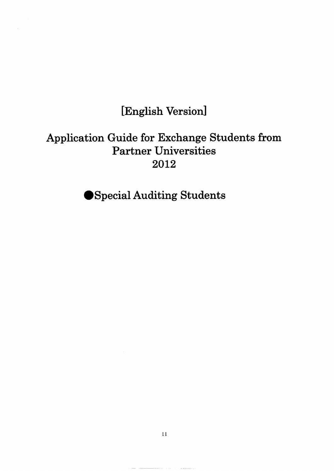# [English Version]

# Application Guide for Exchange Students from Partner Universities 2012

Special Auditing Students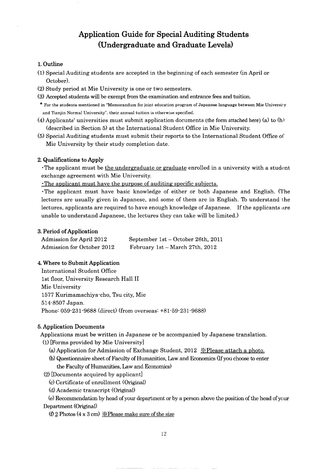### **Application Guide for Special Auditing Students (Undergraduate and Graduate Levels)**

### 1.Outline

- (1) Special Auditing students are accepted in the beginning of each semester (in April or October).
- (2) Study period at Mie University is one or two semesters.
- (3) Accepted students will be exempt from the examination and entrance fees and tuition.
- \* For the students mentioned in "Memorandum for joint. education program of Japanese language between Mie University and Tianjin Normal University". their annual tuition is otherwise specified.
- (4) Applicants' universities must submit application documents (the form attached here) (a) to  $(h)$ (described in Section 5) at the International Student Office in Mie University.
- (5) Special Auditing students must submit their reports to the International Student Office of Mie University by their study completion date.

### 2. Qualifications to Apply

'The applicant must be the undergraduate or graduate enrolled in a university with a student exchange agreement with Mie University.

'The applicant must have the purpose of auditing specific subjects.

'The applicant must have basic knowledge of either or both Japanese and English. (The lectures are usually given in Japanese, and some of them are in English. To understand the lectures, applicants are required to have enough knowledge of Japanese. If the applicants are unable to understand Japanese, the lectures they can take will be limited.)

#### 3. Period of Application

| Admission for April 2012   | September 1st – October 26th, 2011 |
|----------------------------|------------------------------------|
| Admission for October 2012 | February 1st – March 27th, 2012    |

### 4. Where to Submit Application

International Student Office 1st floor, University Research Hall II Mie University 1577 Kurimamachiya-cho, Tsu city, Mie 514-8507 Japan. Phone: 059-231-9688 (direct) (from overseas: +81-59-231-9688)

#### 5. Application Documents

Applications must be written in Japanese or be accompanied by Japanese translation. (I) [Forms provided by Mie University]

- (a) Application for Admission of Exchange Student,  $2012 \times$ Please attach a photo.
- (b) Questionnaire sheet of Faculty of Humanities, Law and Economics (If you choose to enter the Faculty of Humanities, Law and Economics)

(2) [Documents acquired by applicant]

- (c) Certificate of enrollment (Original)
- (d) Academic transcript (OriginaD

(e) Recommendation by head of your department or by a person above the position of the head of your Department (Original)

 $(f)$  2 Photos (4 x 3 cm)  $\mathcal{X}$  Please make sure of the size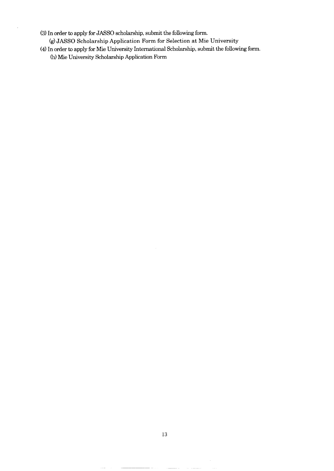- (3) **In** order to apply for JASSO scholarship, submit the following form. (g)JASSO Scholarship Application Form for Selection at Mie University
- (4) **In** order to apply for Mie University International Scholarship, submit the following form. (h) Mie University Scholarship Application Form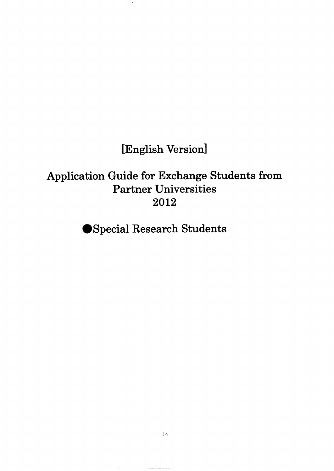**[English Version]**

**Application Guide for Exchange Students from Partner Universities 2012**

**eSpecial Research Students**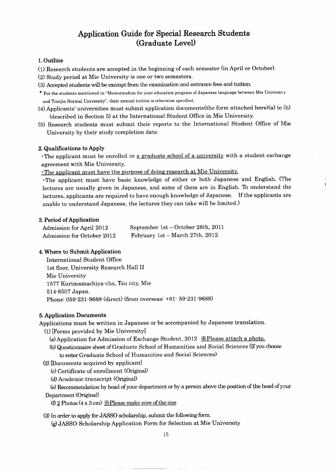### **Application Guide for Special Research Students (Graduate Level)**

### 1.Outline

- (1) Research students are accepted in the beginning of each semester (in April or October).
- (2) Study period at Mie University is one or two semesters.
- (3) Accepted students will be exempt from the examination and entrance fees and tuition.
- \* For the students mentioned in "Memorandum for joint education program of Japanese language between Mie University and Tianjin Normal University", their annual tuition is otherwise specified.
- (4) Applicants' universities must submit application documents(the form attached here)(a) to (h) (described in Section 5) at the International Student Office in Mie University.
- (5) Research students must submit their reports to the International Student Office of Mie University by their study completion date.

### 2. Qualifications to Apply

. The applicant must be enrolled in a graduate school of a university with a student exchange agreement with Mie University.

'The applicant must have the purpose of doing research at Mie Universitv.

'The applicant must have basic knowledge of either or both Japanese and English. (The lectures are usually given in Japanese, and some of them are in English. To understand the lectures, applicants are required to have enough knowledge of Japanese. If the applicants are unable to understand Japanese, the lectures they can take will be limited,}

### 3. Period of Application

| Admission for April 2012   | September 1st – October 26th, 2011 |
|----------------------------|------------------------------------|
| Admission for October 2012 | February 1st – March 27th, $2012$  |

### 4. Where to Submit Application

International Student Office 1st floor, University Research Hall II Mie University 1577 Kurimamachiya-cho, Tsu city, Mie 514-8507 Japan. Phone: 059-231-9688 (direct) (from overseas: +81- 59-231-9688)

#### 5. Application Documents

Applications must be written in Japanese or be accompanied by Japanese translation.

- (1) [Forms provided by Mie University]
	- (a) Application for Admission of Exchange Student, 2012  $\mathcal{X}$ Please attach a photo.
	- (b) Questionnaire sheet of Graduate School of Humanities and Social Sciences (If you choose to enter Graduate School of Humanities and Social Sciences)
- (2) [Documents acquired by applicant]
	- (c) Certificate of enrollment (Original)
	- (d) Academic transcript (OriginaD

(e) Recommendation by head of your department or by a person above the position of the head of your Department (OriginaD

(f) 2 Photos (4 x 3 cm)  $\angle$  Please make sure of the size

(3) In order to apply for JASSO scholarship, submit the following form.

(g)JASSO Scholarship Application Form for Selection at Mie University